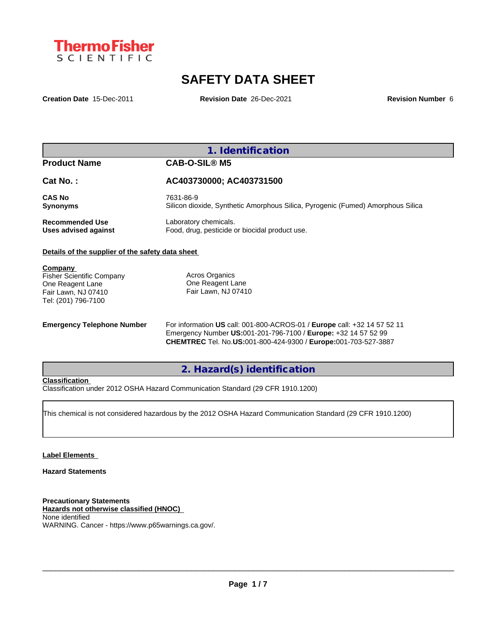

# **SAFETY DATA SHEET**

**Creation Date** 15-Dec-2011 **Revision Date** 26-Dec-2021 **Revision Number** 6

### **1. Identification**

#### **Product Name CAB-O-SIL® M5**

**Cat No. : AC403730000; AC403731500**

**CAS No** 7631-86-9

**Synonyms** Silicon dioxide, Synthetic Amorphous Silica, Pyrogenic (Fumed) Amorphous Silica

**Recommended Use** Laboratory chemicals.<br> **Uses advised against** Food, drug, pesticide of Food, drug, pesticide or biocidal product use.

#### **Details of the supplier of the safety data sheet**

**Company** 

Fisher Scientific Company One Reagent Lane Fair Lawn, NJ 07410 Tel: (201) 796-7100

Acros Organics One Reagent Lane Fair Lawn, NJ 07410

**Emergency Telephone Number** For information **US** call: 001-800-ACROS-01 / **Europe** call: +32 14 57 52 11 Emergency Number **US:**001-201-796-7100 / **Europe:** +32 14 57 52 99 **CHEMTREC** Tel. No.**US:**001-800-424-9300 / **Europe:**001-703-527-3887

**2. Hazard(s) identification**

#### **Classification**

Classification under 2012 OSHA Hazard Communication Standard (29 CFR 1910.1200)

This chemical is not considered hazardous by the 2012 OSHA Hazard Communication Standard (29 CFR 1910.1200)

#### **Label Elements**

#### **Hazard Statements**

**Precautionary Statements Hazards not otherwise classified (HNOC)** None identified WARNING. Cancer - https://www.p65warnings.ca.gov/.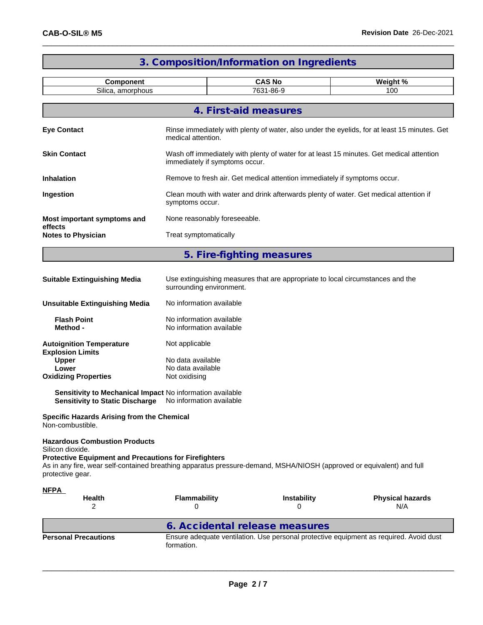\_\_\_\_\_\_

п

÷

|                                                                                                                                                                                                                                                                       |                                                                                                            | 3. Composition/Information on Ingredients                                                    |                                                                                          |  |  |  |  |
|-----------------------------------------------------------------------------------------------------------------------------------------------------------------------------------------------------------------------------------------------------------------------|------------------------------------------------------------------------------------------------------------|----------------------------------------------------------------------------------------------|------------------------------------------------------------------------------------------|--|--|--|--|
| Component                                                                                                                                                                                                                                                             |                                                                                                            | <b>CAS No</b>                                                                                | Weight %                                                                                 |  |  |  |  |
| Silica, amorphous                                                                                                                                                                                                                                                     |                                                                                                            | 7631-86-9                                                                                    | 100                                                                                      |  |  |  |  |
|                                                                                                                                                                                                                                                                       |                                                                                                            | 4. First-aid measures                                                                        |                                                                                          |  |  |  |  |
| <b>Eye Contact</b>                                                                                                                                                                                                                                                    | medical attention.                                                                                         | Rinse immediately with plenty of water, also under the eyelids, for at least 15 minutes. Get |                                                                                          |  |  |  |  |
| <b>Skin Contact</b>                                                                                                                                                                                                                                                   | immediately if symptoms occur.                                                                             |                                                                                              | Wash off immediately with plenty of water for at least 15 minutes. Get medical attention |  |  |  |  |
| <b>Inhalation</b>                                                                                                                                                                                                                                                     |                                                                                                            | Remove to fresh air. Get medical attention immediately if symptoms occur.                    |                                                                                          |  |  |  |  |
| Ingestion                                                                                                                                                                                                                                                             | symptoms occur.                                                                                            | Clean mouth with water and drink afterwards plenty of water. Get medical attention if        |                                                                                          |  |  |  |  |
| Most important symptoms and                                                                                                                                                                                                                                           | None reasonably foreseeable.                                                                               |                                                                                              |                                                                                          |  |  |  |  |
| effects<br><b>Notes to Physician</b>                                                                                                                                                                                                                                  | Treat symptomatically                                                                                      |                                                                                              |                                                                                          |  |  |  |  |
|                                                                                                                                                                                                                                                                       |                                                                                                            | 5. Fire-fighting measures                                                                    |                                                                                          |  |  |  |  |
| <b>Suitable Extinguishing Media</b>                                                                                                                                                                                                                                   | Use extinguishing measures that are appropriate to local circumstances and the<br>surrounding environment. |                                                                                              |                                                                                          |  |  |  |  |
| <b>Unsuitable Extinguishing Media</b>                                                                                                                                                                                                                                 | No information available                                                                                   |                                                                                              |                                                                                          |  |  |  |  |
| <b>Flash Point</b><br>Method -                                                                                                                                                                                                                                        | No information available<br>No information available                                                       |                                                                                              |                                                                                          |  |  |  |  |
| <b>Autoignition Temperature</b><br><b>Explosion Limits</b><br><b>Upper</b>                                                                                                                                                                                            | Not applicable<br>No data available                                                                        |                                                                                              |                                                                                          |  |  |  |  |
| Lower<br><b>Oxidizing Properties</b>                                                                                                                                                                                                                                  | No data available<br>Not oxidising                                                                         |                                                                                              |                                                                                          |  |  |  |  |
| Sensitivity to Mechanical Impact No information available<br><b>Sensitivity to Static Discharge</b>                                                                                                                                                                   | No information available                                                                                   |                                                                                              |                                                                                          |  |  |  |  |
| <b>Specific Hazards Arising from the Chemical</b><br>Non-combustible.                                                                                                                                                                                                 |                                                                                                            |                                                                                              |                                                                                          |  |  |  |  |
| <b>Hazardous Combustion Products</b><br>Silicon dioxide.<br><b>Protective Equipment and Precautions for Firefighters</b><br>As in any fire, wear self-contained breathing apparatus pressure-demand, MSHA/NIOSH (approved or equivalent) and full<br>protective gear. |                                                                                                            |                                                                                              |                                                                                          |  |  |  |  |
| <b>NFPA</b><br><b>Health</b>                                                                                                                                                                                                                                          | <b>Flammability</b>                                                                                        | Instability                                                                                  | <b>Physical hazards</b>                                                                  |  |  |  |  |
| 2                                                                                                                                                                                                                                                                     | 0                                                                                                          | 0                                                                                            | N/A                                                                                      |  |  |  |  |
| <b>Personal Precautions</b>                                                                                                                                                                                                                                           | formation.                                                                                                 | 6. Accidental release measures                                                               | Ensure adequate ventilation. Use personal protective equipment as required. Avoid dust   |  |  |  |  |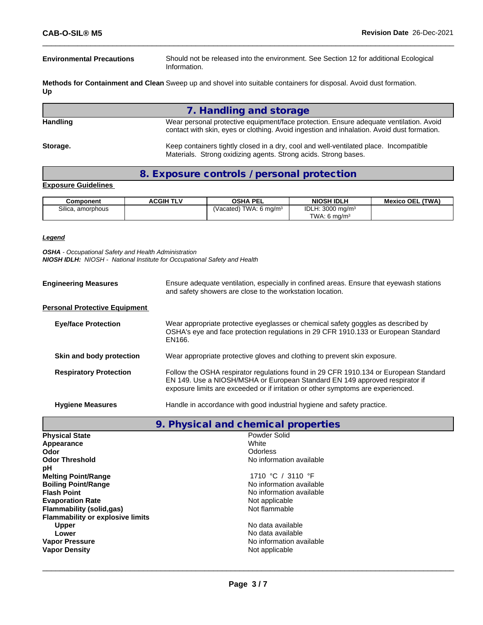**Environmental Precautions** Should not be released into the environment. See Section 12 for additional Ecological Information.

**Methods for Containment and Clean** Sweep up and shovel into suitable containers for disposal. Avoid dust formation. **Up**

**7. Handling and storage**

Handling **Handling** Wear personal protective equipment/face protection. Ensure adequate ventilation. Avoid contact with skin, eyes or clothing. Avoid ingestion and inhalation. Avoid dust formation. **Storage.** Keep containers tightly closed in a dry, cool and well-ventilated place. Incompatible Materials. Strong oxidizing agents. Strong acids. Strong bases.

**8. Exposure controls / personal protection**

#### **Exposure Guidelines**

| Component         | <b>ACGIH TLV</b> | <b>OSHA PEL</b>           | <b>NIOSH IDLH</b>            | (TWA)<br><b>Mexico OEL</b> |
|-------------------|------------------|---------------------------|------------------------------|----------------------------|
| Silica, amorphous |                  | (Vacated) TWA: 6 mg/m $3$ | IDLH: 3000 mg/m <sup>3</sup> |                            |
|                   |                  |                           | TWA: 6 $ma/m3$               |                            |

#### *Legend*

*OSHA - Occupational Safety and Health Administration NIOSH IDLH: NIOSH - National Institute for Occupational Safety and Health*

| <b>Engineering Measures</b>          | Ensure adequate ventilation, especially in confined areas. Ensure that eyewash stations<br>and safety showers are close to the workstation location.                                                                                                    |
|--------------------------------------|---------------------------------------------------------------------------------------------------------------------------------------------------------------------------------------------------------------------------------------------------------|
| <b>Personal Protective Equipment</b> |                                                                                                                                                                                                                                                         |
| <b>Eye/face Protection</b>           | Wear appropriate protective eyeglasses or chemical safety goggles as described by<br>OSHA's eye and face protection regulations in 29 CFR 1910.133 or European Standard<br>EN166.                                                                       |
| Skin and body protection             | Wear appropriate protective gloves and clothing to prevent skin exposure.                                                                                                                                                                               |
| <b>Respiratory Protection</b>        | Follow the OSHA respirator regulations found in 29 CFR 1910.134 or European Standard<br>EN 149. Use a NIOSH/MSHA or European Standard EN 149 approved respirator if<br>exposure limits are exceeded or if irritation or other symptoms are experienced. |
| <b>Hygiene Measures</b>              | Handle in accordance with good industrial hygiene and safety practice.                                                                                                                                                                                  |

|  |  | 9. Physical and chemical properties |  |  |
|--|--|-------------------------------------|--|--|
|--|--|-------------------------------------|--|--|

| <b>Physical State</b>                   | Powder Solid             |
|-----------------------------------------|--------------------------|
| Appearance                              | White                    |
| <b>Odor</b>                             | Odorless                 |
| <b>Odor Threshold</b>                   | No information available |
| рH                                      |                          |
| <b>Melting Point/Range</b>              | 1710 °C / 3110 °F        |
| <b>Boiling Point/Range</b>              | No information available |
| <b>Flash Point</b>                      | No information available |
| <b>Evaporation Rate</b>                 | Not applicable           |
| <b>Flammability (solid,gas)</b>         | Not flammable            |
| <b>Flammability or explosive limits</b> |                          |
| <b>Upper</b>                            | No data available        |
| Lower                                   | No data available        |
| <b>Vapor Pressure</b>                   | No information available |
| <b>Vapor Density</b>                    | Not applicable           |
|                                         |                          |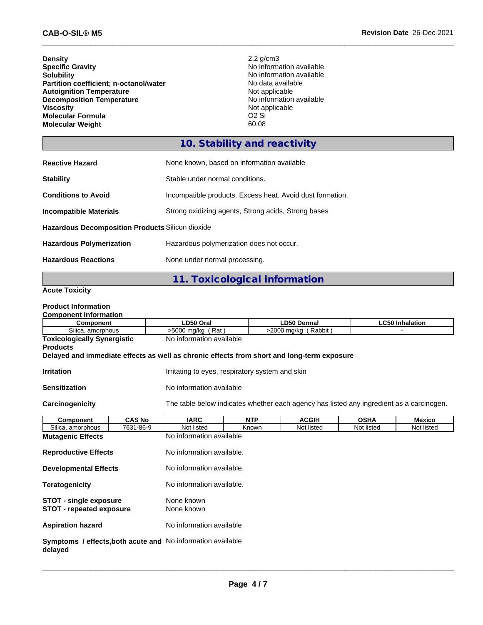**Density** 2.2 g/cm3<br> **Specific Gravity** 2.2 g/cm3 **Specific Gravity**<br> **Solubility**<br> **Solubility**<br> **Solubility**<br> **No** information available **Partition coefficient; n-octanol/water** No data availal<br> **Autoignition Temperature** Not applicable **Autoignition Temperature**<br> **Decomposition Temperature Composition Temperature**<br> **No** information available **Decomposition Temperature**<br>Viscosity **Molecular Formula** O2 Si<br> **Molecular Weight** 60.08 **Molecular Weight** 

No information available<br>No data available Not applicable<br>O<sub>2</sub> Si

# **10. Stability and reactivity**

| <b>Reactive Hazard</b>                                  | None known, based on information available                |  |  |  |  |
|---------------------------------------------------------|-----------------------------------------------------------|--|--|--|--|
| <b>Stability</b>                                        | Stable under normal conditions.                           |  |  |  |  |
| <b>Conditions to Avoid</b>                              | Incompatible products. Excess heat. Avoid dust formation. |  |  |  |  |
| <b>Incompatible Materials</b>                           | Strong oxidizing agents, Strong acids, Strong bases       |  |  |  |  |
| <b>Hazardous Decomposition Products Silicon dioxide</b> |                                                           |  |  |  |  |
| <b>Hazardous Polymerization</b>                         | Hazardous polymerization does not occur.                  |  |  |  |  |
| <b>Hazardous Reactions</b>                              | None under normal processing.                             |  |  |  |  |

## **11. Toxicological information**

#### **Acute Toxicity**

#### **Product Information**

| <b>Component Information</b>                                     |               |                                                                                            |            |                      |             |                        |  |  |
|------------------------------------------------------------------|---------------|--------------------------------------------------------------------------------------------|------------|----------------------|-------------|------------------------|--|--|
| <b>Component</b>                                                 |               | LD50 Oral                                                                                  |            | <b>LD50 Dermal</b>   |             | <b>LC50 Inhalation</b> |  |  |
| Silica, amorphous                                                |               | $>5000$ mg/kg (Rat)                                                                        |            | >2000 mg/kg (Rabbit) |             |                        |  |  |
| <b>Toxicologically Synergistic</b>                               |               | No information available                                                                   |            |                      |             |                        |  |  |
| <b>Products</b>                                                  |               |                                                                                            |            |                      |             |                        |  |  |
|                                                                  |               | Delayed and immediate effects as well as chronic effects from short and long-term exposure |            |                      |             |                        |  |  |
| <b>Irritation</b>                                                |               | Irritating to eyes, respiratory system and skin                                            |            |                      |             |                        |  |  |
| <b>Sensitization</b>                                             |               | No information available                                                                   |            |                      |             |                        |  |  |
| Carcinogenicity                                                  |               | The table below indicates whether each agency has listed any ingredient as a carcinogen.   |            |                      |             |                        |  |  |
| <b>Component</b>                                                 | <b>CAS No</b> | <b>IARC</b>                                                                                | <b>NTP</b> | <b>ACGIH</b>         | <b>OSHA</b> | Mexico                 |  |  |
| Silica, amorphous                                                | 7631-86-9     | Not listed                                                                                 | Known      | Not listed           | Not listed  | Not listed             |  |  |
| <b>Mutagenic Effects</b>                                         |               | No information available                                                                   |            |                      |             |                        |  |  |
| <b>Reproductive Effects</b>                                      |               | No information available.                                                                  |            |                      |             |                        |  |  |
| <b>Developmental Effects</b>                                     |               | No information available.                                                                  |            |                      |             |                        |  |  |
| <b>Teratogenicity</b>                                            |               | No information available.                                                                  |            |                      |             |                        |  |  |
| <b>STOT - single exposure</b><br><b>STOT - repeated exposure</b> |               | None known<br>None known                                                                   |            |                      |             |                        |  |  |
| No information available<br><b>Aspiration hazard</b>             |               |                                                                                            |            |                      |             |                        |  |  |
| delayed                                                          |               | <b>Symptoms / effects, both acute and No information available</b>                         |            |                      |             |                        |  |  |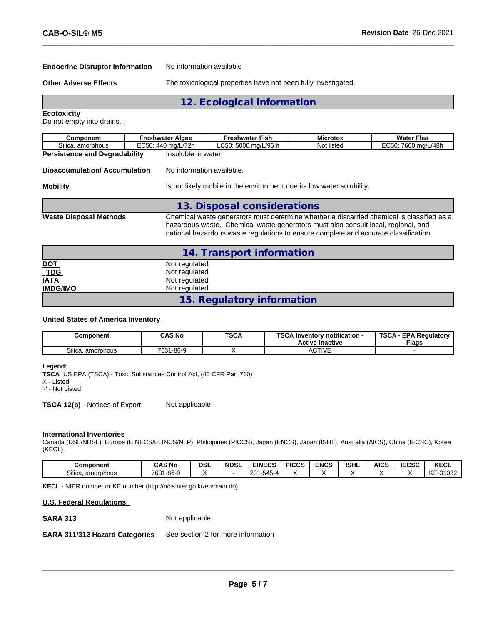#### **Endocrine Disruptor Information** No information available

**Other Adverse Effects** The toxicological properties have not been fully investigated.

**12. Ecological information**

**Ecotoxicity** 

Do not empty into drains. .

| Component                                                                                                                                                                                                                                                                                              | <b>Freshwater Algae</b> | <b>Freshwater Fish</b>                                                | <b>Microtox</b> | <b>Water Flea</b>   |  |  |
|--------------------------------------------------------------------------------------------------------------------------------------------------------------------------------------------------------------------------------------------------------------------------------------------------------|-------------------------|-----------------------------------------------------------------------|-----------------|---------------------|--|--|
| Silica, amorphous                                                                                                                                                                                                                                                                                      | EC50: 440 mg/L/72h      | LC50: 5000 mg/L/96 h                                                  | Not listed      | EC50: 7600 mg/L/48h |  |  |
| <b>Persistence and Degradability</b>                                                                                                                                                                                                                                                                   | Insoluble in water      |                                                                       |                 |                     |  |  |
| No information available.<br><b>Bioaccumulation/Accumulation</b>                                                                                                                                                                                                                                       |                         |                                                                       |                 |                     |  |  |
| <b>Mobility</b>                                                                                                                                                                                                                                                                                        |                         | Is not likely mobile in the environment due its low water solubility. |                 |                     |  |  |
|                                                                                                                                                                                                                                                                                                        |                         | 13. Disposal considerations                                           |                 |                     |  |  |
| Chemical waste generators must determine whether a discarded chemical is classified as a<br><b>Waste Disposal Methods</b><br>hazardous waste. Chemical waste generators must also consult local, regional, and<br>national hazardous waste regulations to ensure complete and accurate classification. |                         |                                                                       |                 |                     |  |  |

|                          | 14. Transport information  |  |
|--------------------------|----------------------------|--|
|                          | Not regulated              |  |
| <u>DOT</u><br><u>TDG</u> | Not regulated              |  |
| <b>IATA</b>              | Not regulated              |  |
| <b>IMDG/IMO</b>          | Not regulated              |  |
|                          | 15. Regulatory information |  |

#### **United States of America Inventory**

| Component              | CAS No    | <b>TSCA</b> | TOO A L<br>Inventory notification -<br>36 P<br><b>Active-Inactive</b> | <b>TSCA</b><br>- EPA Reaulatory<br><b>Flags</b> |
|------------------------|-----------|-------------|-----------------------------------------------------------------------|-------------------------------------------------|
| Silica.<br>. amorphous | 7631-86-9 |             | <b>ACTIVE</b>                                                         |                                                 |

#### **Legend:**

**TSCA** US EPA (TSCA) - Toxic Substances Control Act, (40 CFR Part 710)

X - Listed

'-' - Not Listed

**TSCA 12(b)** - Notices of Export Not applicable

#### **International Inventories**

Canada (DSL/NDSL), Europe (EINECS/ELINCS/NLP), Philippines (PICCS), Japan (ENCS), Japan (ISHL), Australia (AICS), China (IECSC), Korea (KECL).

| Component         | <b>CAS No</b>        | <b>DSL</b> | <b>NDSL</b> | <b>EINECS</b>                 | <b>PICCS</b> | <b>ENCS</b> | <b>ISHL</b> | <b>AICS</b> | 500 <sub>2</sub><br>:656 | <b>KECL</b> |
|-------------------|----------------------|------------|-------------|-------------------------------|--------------|-------------|-------------|-------------|--------------------------|-------------|
| Silica, amorphous | 7631<br>$1 - 86 - 9$ |            |             | $ -$<br>ּ בר<br>1-545-4<br>ںے |              |             |             |             |                          | KE<br>31032 |

**KECL** - NIER number or KE number (http://ncis.nier.go.kr/en/main.do)

#### **U.S. Federal Regulations**

**SARA 313** Not applicable

**SARA 311/312 Hazard Categories** See section 2 for more information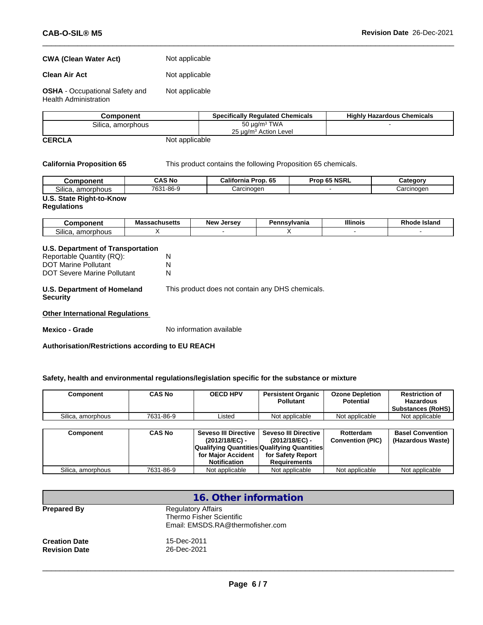# **CWA** (Clean Water Act) Not applicable

**Clean Air Act** Not applicable

**OSHA** - Occupational Safety and Health Administration Not applicable

|               | Component         | <b>Specifically Regulated Chemicals</b> | <b>Highly Hazardous Chemicals</b> |
|---------------|-------------------|-----------------------------------------|-----------------------------------|
|               | Silica, amorphous | 50 $\mu$ g/m <sup>3</sup> TWA           |                                   |
|               |                   | 25 ug/m <sup>3</sup> Action Level       |                                   |
| <b>CERCLA</b> | Not applicable    |                                         |                                   |

**California Proposition 65** This product contains the following Proposition 65 chemicals.

| Component                | <b>CAS No</b> | California Prop. 65 | Prop 65 NSRL | Category   |  |  |
|--------------------------|---------------|---------------------|--------------|------------|--|--|
| Silica, amorphous        | 7631-86-9     | Carcinoɑen          |              | Carcinogen |  |  |
| U.S. State Right-to-Know |               |                     |              |            |  |  |

### **Regulations**

| --<br>                                                | - -<br>ма<br>wwwachs | <b>New</b><br><i><u>Inrenu</u></i> | <b>\nsvivania</b><br>ъ.<br>⊶unsv | <b>Illinois</b> | <b>Island</b><br>мн |
|-------------------------------------------------------|----------------------|------------------------------------|----------------------------------|-----------------|---------------------|
| $\sim \cdots$<br>. amorr<br>.<br>Silica.<br>ivu.<br>. |                      |                                    |                                  |                 |                     |

#### **U.S. Department of Transportation** Reportable Quantity (RQ): N<br>DOT Marine Pollutant N DOT Marine Pollutant N<br>DOT Severe Marine Pollutant N DOT Severe Marine Pollutant **U.S. Department of Homeland Security** This product does not contain any DHS chemicals.

**Other International Regulations**

**Mexico - Grade** No information available

**Authorisation/Restrictions according to EU REACH**

#### **Safety, health and environmental regulations/legislation specific for the substance or mixture**

| Component         | <b>CAS No</b> | <b>OECD HPV</b>      | <b>Persistent Organic</b><br><b>Pollutant</b> | <b>Ozone Depletion</b><br><b>Potential</b> | <b>Restriction of</b><br><b>Hazardous</b><br><b>Substances (RoHS)</b> |
|-------------------|---------------|----------------------|-----------------------------------------------|--------------------------------------------|-----------------------------------------------------------------------|
| Silica, amorphous | 7631-86-9     | Listed               | Not applicable                                | Not applicable                             | Not applicable                                                        |
|                   |               |                      |                                               |                                            |                                                                       |
| Component         | <b>CAS No</b> | Seveso III Directive | <b>Seveso III Directive</b>                   | Rotterdam                                  | <b>Basel Convention</b>                                               |
|                   |               | (2012/18/EC) -       | (2012/18/EC) -                                | <b>Convention (PIC)</b>                    | (Hazardous Waste)                                                     |
|                   |               |                      | Qualifying Quantities Qualifying Quantities   |                                            |                                                                       |
|                   |               | for Major Accident   | for Safety Report                             |                                            |                                                                       |
|                   |               | Notification         | <b>Requirements</b>                           |                                            |                                                                       |
| Silica, amorphous | 7631-86-9     | Not applicable       | Not applicable                                | Not applicable                             | Not applicable                                                        |

|                                              | 16. Other information                                                                     |
|----------------------------------------------|-------------------------------------------------------------------------------------------|
| <b>Prepared By</b>                           | <b>Regulatory Affairs</b><br>Thermo Fisher Scientific<br>Email: EMSDS.RA@thermofisher.com |
| <b>Creation Date</b><br><b>Revision Date</b> | 15-Dec-2011<br>26-Dec-2021                                                                |